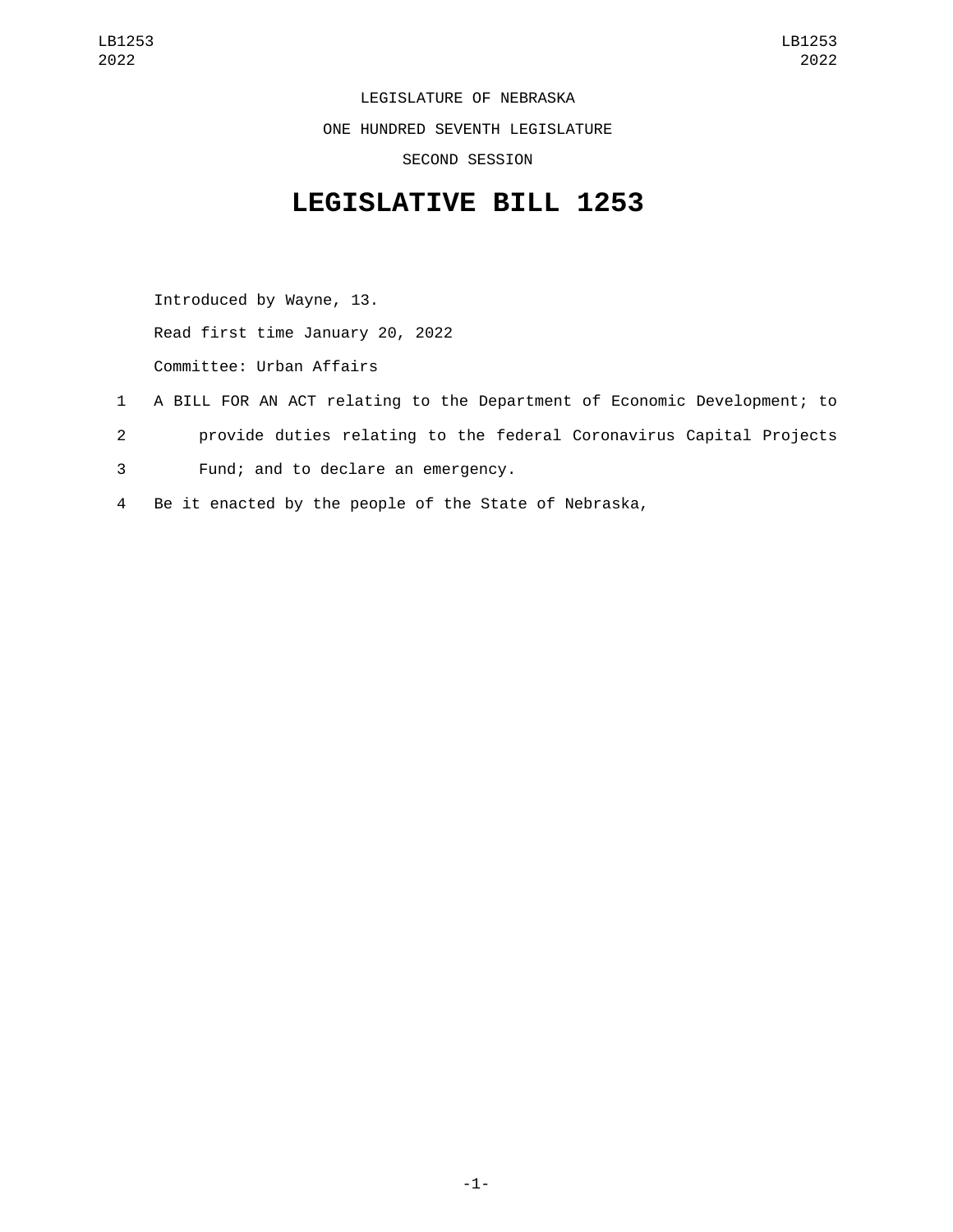LEGISLATURE OF NEBRASKA ONE HUNDRED SEVENTH LEGISLATURE SECOND SESSION

## **LEGISLATIVE BILL 1253**

Introduced by Wayne, 13. Read first time January 20, 2022 Committee: Urban Affairs

- 1 A BILL FOR AN ACT relating to the Department of Economic Development; to 2 provide duties relating to the federal Coronavirus Capital Projects 3 Fund; and to declare an emergency.
- 4 Be it enacted by the people of the State of Nebraska,